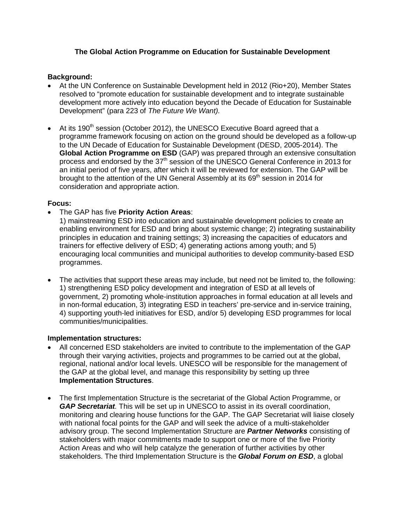# **The Global Action Programme on Education for Sustainable Development**

## **Background:**

- At the UN Conference on Sustainable Development held in 2012 (Rio+20), Member States resolved to "promote education for sustainable development and to integrate sustainable development more actively into education beyond the Decade of Education for Sustainable Development" (para 223 of *The Future We Want).*
- At its 190<sup>th</sup> session (October 2012), the UNESCO Executive Board agreed that a programme framework focusing on action on the ground should be developed as a follow-up to the UN Decade of Education for Sustainable Development (DESD, 2005-2014). The **Global Action Programme on ESD** (GAP) was prepared through an extensive consultation process and endorsed by the  $37<sup>th</sup>$  session of the UNESCO General Conference in 2013 for an initial period of five years, after which it will be reviewed for extension. The GAP will be brought to the attention of the UN General Assembly at its  $69<sup>th</sup>$  session in 2014 for consideration and appropriate action.

## **Focus:**

- The GAP has five **Priority Action Areas**:
	- 1) mainstreaming ESD into education and sustainable development policies to create an enabling environment for ESD and bring about systemic change; 2) integrating sustainability principles in education and training settings; 3) increasing the capacities of educators and trainers for effective delivery of ESD; 4) generating actions among youth; and 5) encouraging local communities and municipal authorities to develop community-based ESD programmes.
- The activities that support these areas may include, but need not be limited to, the following: 1) strengthening ESD policy development and integration of ESD at all levels of government, 2) promoting whole-institution approaches in formal education at all levels and in non-formal education, 3) integrating ESD in teachers' pre-service and in-service training, 4) supporting youth-led initiatives for ESD, and/or 5) developing ESD programmes for local communities/municipalities.

## **Implementation structures:**

- All concerned ESD stakeholders are invited to contribute to the implementation of the GAP through their varying activities, projects and programmes to be carried out at the global, regional, national and/or local levels. UNESCO will be responsible for the management of the GAP at the global level, and manage this responsibility by setting up three **Implementation Structures**.
- The first Implementation Structure is the secretariat of the Global Action Programme, or *GAP Secretariat.* This will be set up in UNESCO to assist in its overall coordination, monitoring and clearing house functions for the GAP. The GAP Secretariat will liaise closely with national focal points for the GAP and will seek the advice of a multi-stakeholder advisory group. The second Implementation Structure are *Partner Networks* consisting of stakeholders with major commitments made to support one or more of the five Priority Action Areas and who will help catalyze the generation of further activities by other stakeholders. The third Implementation Structure is the *Global Forum on ESD*, a global